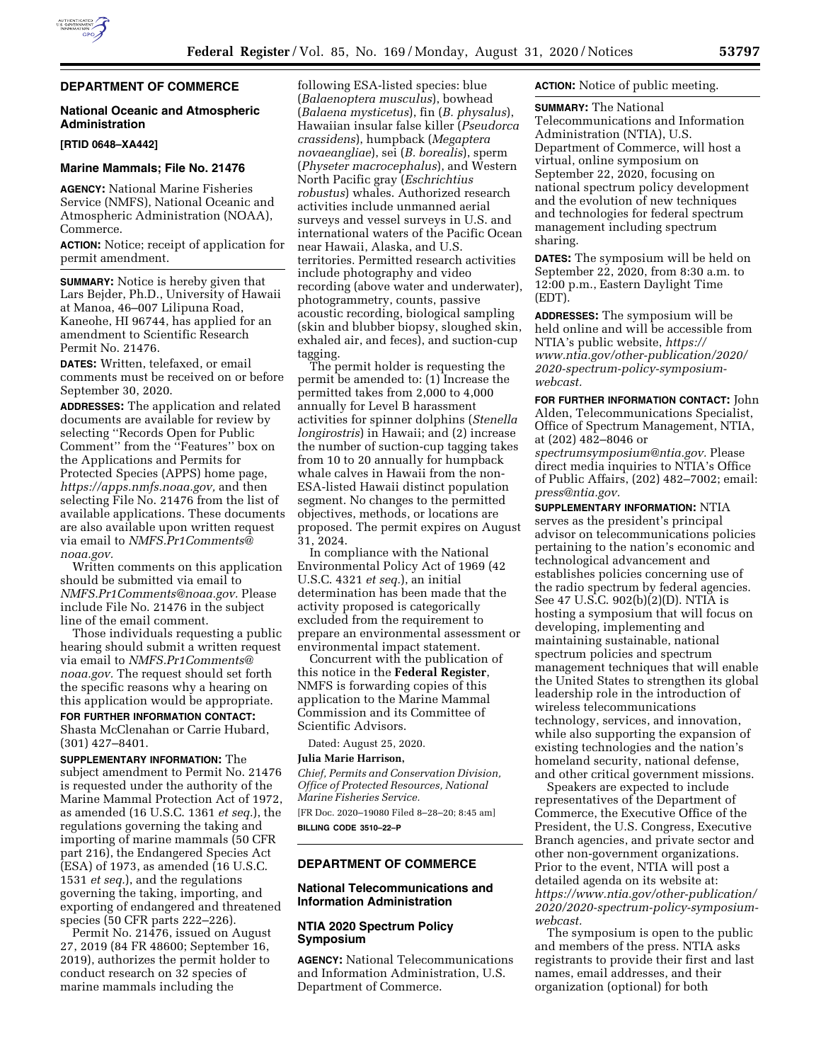# **DEPARTMENT OF COMMERCE**

# **National Oceanic and Atmospheric Administration**

**[RTID 0648–XA442]** 

# **Marine Mammals; File No. 21476**

**AGENCY:** National Marine Fisheries Service (NMFS), National Oceanic and Atmospheric Administration (NOAA), Commerce.

**ACTION:** Notice; receipt of application for permit amendment.

**SUMMARY:** Notice is hereby given that Lars Bejder, Ph.D., University of Hawaii at Manoa, 46–007 Lilipuna Road, Kaneohe, HI 96744, has applied for an amendment to Scientific Research Permit No. 21476.

**DATES:** Written, telefaxed, or email comments must be received on or before September 30, 2020.

**ADDRESSES:** The application and related documents are available for review by selecting ''Records Open for Public Comment'' from the ''Features'' box on the Applications and Permits for Protected Species (APPS) home page, *[https://apps.nmfs.noaa.gov,](https://apps.nmfs.noaa.gov)* and then selecting File No. 21476 from the list of available applications. These documents are also available upon written request via email to *[NMFS.Pr1Comments@](mailto:NMFS.Pr1Comments@noaa.gov) [noaa.gov.](mailto:NMFS.Pr1Comments@noaa.gov)* 

Written comments on this application should be submitted via email to *[NMFS.Pr1Comments@noaa.gov.](mailto:NMFS.Pr1Comments@noaa.gov)* Please include File No. 21476 in the subject line of the email comment.

Those individuals requesting a public hearing should submit a written request via email to *[NMFS.Pr1Comments@](mailto:NMFS.Pr1Comments@noaa.gov) [noaa.gov.](mailto:NMFS.Pr1Comments@noaa.gov)* The request should set forth the specific reasons why a hearing on this application would be appropriate.

## **FOR FURTHER INFORMATION CONTACT:**  Shasta McClenahan or Carrie Hubard, (301) 427–8401.

**SUPPLEMENTARY INFORMATION:** The subject amendment to Permit No. 21476 is requested under the authority of the Marine Mammal Protection Act of 1972, as amended (16 U.S.C. 1361 *et seq.*), the regulations governing the taking and importing of marine mammals (50 CFR part 216), the Endangered Species Act (ESA) of 1973, as amended (16 U.S.C. 1531 *et seq.*), and the regulations governing the taking, importing, and exporting of endangered and threatened species (50 CFR parts 222–226).

Permit No. 21476, issued on August 27, 2019 (84 FR 48600; September 16, 2019), authorizes the permit holder to conduct research on 32 species of marine mammals including the

following ESA-listed species: blue (*Balaenoptera musculus*), bowhead (*Balaena mysticetus*), fin (*B. physalus*), Hawaiian insular false killer (*Pseudorca crassidens*), humpback (*Megaptera novaeangliae*), sei (*B. borealis*), sperm (*Physeter macrocephalus*), and Western North Pacific gray (*Eschrichtius robustus*) whales. Authorized research activities include unmanned aerial surveys and vessel surveys in U.S. and international waters of the Pacific Ocean near Hawaii, Alaska, and U.S. territories. Permitted research activities include photography and video recording (above water and underwater), photogrammetry, counts, passive acoustic recording, biological sampling (skin and blubber biopsy, sloughed skin, exhaled air, and feces), and suction-cup tagging.

The permit holder is requesting the permit be amended to: (1) Increase the permitted takes from 2,000 to 4,000 annually for Level B harassment activities for spinner dolphins (*Stenella longirostris*) in Hawaii; and (2) increase the number of suction-cup tagging takes from 10 to 20 annually for humpback whale calves in Hawaii from the non-ESA-listed Hawaii distinct population segment. No changes to the permitted objectives, methods, or locations are proposed. The permit expires on August 31, 2024.

In compliance with the National Environmental Policy Act of 1969 (42 U.S.C. 4321 *et seq.*), an initial determination has been made that the activity proposed is categorically excluded from the requirement to prepare an environmental assessment or environmental impact statement.

Concurrent with the publication of this notice in the **Federal Register**, NMFS is forwarding copies of this application to the Marine Mammal Commission and its Committee of Scientific Advisors.

Dated: August 25, 2020.

## **Julia Marie Harrison,**

*Chief, Permits and Conservation Division, Office of Protected Resources, National Marine Fisheries Service.*  [FR Doc. 2020–19080 Filed 8–28–20; 8:45 am]

**BILLING CODE 3510–22–P** 

## **DEPARTMENT OF COMMERCE**

## **National Telecommunications and Information Administration**

## **NTIA 2020 Spectrum Policy Symposium**

**AGENCY:** National Telecommunications and Information Administration, U.S. Department of Commerce.

**ACTION:** Notice of public meeting.

**SUMMARY:** The National Telecommunications and Information Administration (NTIA), U.S. Department of Commerce, will host a virtual, online symposium on September 22, 2020, focusing on national spectrum policy development and the evolution of new techniques and technologies for federal spectrum management including spectrum sharing.

**DATES:** The symposium will be held on September 22, 2020, from 8:30 a.m. to 12:00 p.m., Eastern Daylight Time (EDT).

**ADDRESSES:** The symposium will be held online and will be accessible from NTIA's public website, *[https://](https://www.ntia.gov/other-publication/2020/2020-spectrum-policy-symposium-webcast) [www.ntia.gov/other-publication/2020/](https://www.ntia.gov/other-publication/2020/2020-spectrum-policy-symposium-webcast)  [2020-spectrum-policy-symposium](https://www.ntia.gov/other-publication/2020/2020-spectrum-policy-symposium-webcast)[webcast.](https://www.ntia.gov/other-publication/2020/2020-spectrum-policy-symposium-webcast)* 

**FOR FURTHER INFORMATION CONTACT:** John Alden, Telecommunications Specialist, Office of Spectrum Management, NTIA, at (202) 482–8046 or *[spectrumsymposium@ntia.gov.](mailto:spectrumsymposium@ntia.gov)* Please direct media inquiries to NTIA's Office of Public Affairs, (202) 482–7002; email: *[press@ntia.gov.](mailto:press@ntia.gov)* 

**SUPPLEMENTARY INFORMATION:** NTIA serves as the president's principal advisor on telecommunications policies pertaining to the nation's economic and technological advancement and establishes policies concerning use of the radio spectrum by federal agencies. See 47 U.S.C. 902(b)(2)(D). NTIA is hosting a symposium that will focus on developing, implementing and maintaining sustainable, national spectrum policies and spectrum management techniques that will enable the United States to strengthen its global leadership role in the introduction of wireless telecommunications technology, services, and innovation, while also supporting the expansion of existing technologies and the nation's homeland security, national defense, and other critical government missions.

Speakers are expected to include representatives of the Department of Commerce, the Executive Office of the President, the U.S. Congress, Executive Branch agencies, and private sector and other non-government organizations. Prior to the event, NTIA will post a detailed agenda on its website at: *[https://www.ntia.gov/other-publication/](https://www.ntia.gov/other-publication/2020/2020-spectrum-policy-symposium-webcast)  2020/2020-spectrum-policy-symposium[webcast.](https://www.ntia.gov/other-publication/2020/2020-spectrum-policy-symposium-webcast)* 

The symposium is open to the public and members of the press. NTIA asks registrants to provide their first and last names, email addresses, and their organization (optional) for both